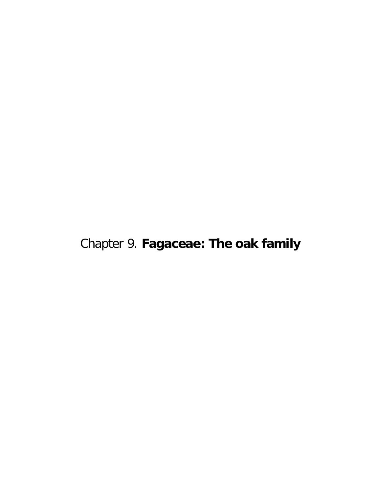Chapter 9. **Fagaceae: The oak family**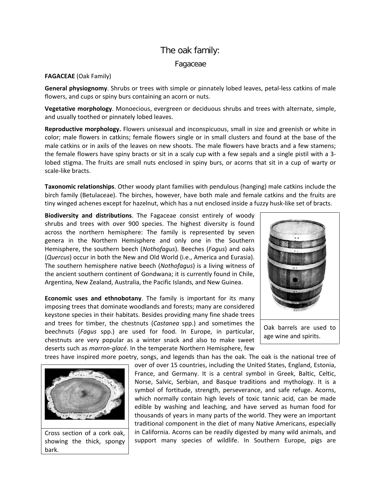## The oak family: Fagaceae

## **FAGACEAE** (Oak Family)

**General physiognomy**. Shrubs or trees with simple or pinnately lobed leaves, petal-less catkins of male flowers, and cups or spiny burs containing an acorn or nuts.

**Vegetative morphology**. Monoecious, evergreen or deciduous shrubs and trees with alternate, simple, and usually toothed or pinnately lobed leaves.

**Reproductive morphology.** Flowers unisexual and inconspicuous, small in size and greenish or white in color; male flowers in catkins; female flowers single or in small clusters and found at the base of the male catkins or in axils of the leaves on new shoots. The male flowers have bracts and a few stamens; the female flowers have spiny bracts or sit in a scaly cup with a few sepals and a single pistil with a 3 lobed stigma. The fruits are small nuts enclosed in spiny burs, or acorns that sit in a cup of warty or scale-like bracts.

**Taxonomic relationships**. Other woody plant families with pendulous (hanging) male catkins include the birch family (Betulaceae). The birches, however, have both male and female catkins and the fruits are tiny winged achenes except for hazelnut, which has a nut enclosed inside a fuzzy husk-like set of bracts.

**Biodiversity and distributions**. The Fagaceae consist entirely of woody shrubs and trees with over 900 species. The highest diversity is found across the northern hemisphere: The family is represented by seven genera in the Northern Hemisphere and only one in the Southern Hemisphere, the southern beech (*Nothofagus*). Beeches (*Fagus*) and oaks (*Quercus*) occur in both the New and Old World (i.e., America and Eurasia). The southern hemisphere native beech (*Nothofagus*) is a living witness of the ancient southern continent of Gondwana; it is currently found in Chile, Argentina, New Zealand, Australia, the Pacific Islands, and New Guinea.

**Economic uses and ethnobotany**. The family is important for its many imposing trees that dominate woodlands and forests; many are considered keystone species in their habitats. Besides providing many fine shade trees and trees for timber, the chestnuts (*Castanea* spp.) and sometimes the beechnuts (*Fagus* spp.) are used for food. In Europe, in particular, chestnuts are very popular as a winter snack and also to make sweet deserts such as *marron-glacé*. In the temperate Northern Hemisphere, few



trees have inspired more poetry, songs, and legends than has the oak. The oak is the national tree of



Cross section of a cork oak, showing the thick, spongy bark.

over of over 15 countries, including the United States, England, Estonia, France, and Germany. It is a central symbol in Greek, Baltic, Celtic, Norse, Salvic, Serbian, and Basque traditions and mythology. It is a symbol of fortitude, strength, perseverance, and safe refuge. Acorns, which normally contain high levels of toxic tannic acid, can be made edible by washing and leaching, and have served as human food for thousands of years in many parts of the world. They were an important traditional component in the diet of many Native Americans, especially in California. Acorns can be readily digested by many wild animals, and support many species of wildlife. In Southern Europe, pigs are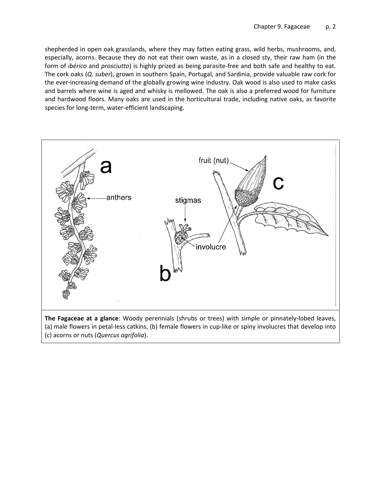shepherded in open oak grasslands, where they may fatten eating grass, wild herbs, mushrooms, and, especially, acorns. Because they do not eat their own waste, as in a closed sty, their raw ham (in the form of *ibérico* and *prosciutto*) is highly prized as being parasite-free and both safe and healthy to eat. The cork oaks (*Q. suber*), grown in southern Spain, Portugal, and Sardinia, provide valuable raw cork for the ever-increasing demand of the globally growing wine industry. Oak wood is also used to make casks and barrels where wine is aged and whisky is mellowed. The oak is also a preferred wood for furniture and hardwood floors. Many oaks are used in the horticultural trade, including native oaks, as favorite species for long-term, water-efficient landscaping.



**The Fagaceae at a glance**: Woody perennials (shrubs or trees) with simple or pinnately-lobed leaves, (a) male flowers in petal-less catkins, (b) female flowers in cup-like or spiny involucres that develop into (c) acorns or nuts (*Quercus agrifolia*).